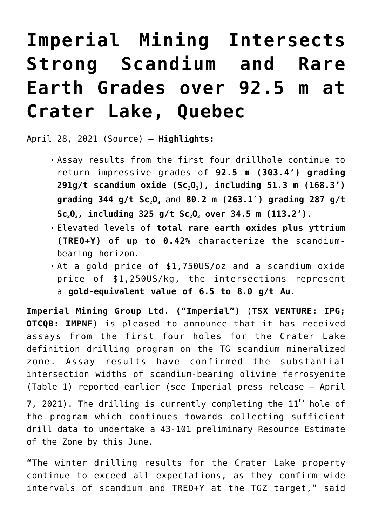# **[Imperial Mining Intersects](https://investorintel.com/markets/technology-metals/technology-metals-news/imperial-mining-intersects-strong-scandium-and-rare-earth-grades-over-92-5-m-at-crater-lake-quebec/) [Strong Scandium and Rare](https://investorintel.com/markets/technology-metals/technology-metals-news/imperial-mining-intersects-strong-scandium-and-rare-earth-grades-over-92-5-m-at-crater-lake-quebec/) [Earth Grades over 92.5 m at](https://investorintel.com/markets/technology-metals/technology-metals-news/imperial-mining-intersects-strong-scandium-and-rare-earth-grades-over-92-5-m-at-crater-lake-quebec/) [Crater Lake, Quebec](https://investorintel.com/markets/technology-metals/technology-metals-news/imperial-mining-intersects-strong-scandium-and-rare-earth-grades-over-92-5-m-at-crater-lake-quebec/)**

April 28, 2021 ([Source](http://www.globenewswire.com/news-release/2021/04/28/2218655/0/en/Imperial-Mining-Intersects-Strong-Scandium-and-Rare-Earth-Grades-over-92-5-m-at-Crater-Lake-Quebec.html)) — **Highlights:**

- Assay results from the first four drillhole continue to return impressive grades of **92.5 m (303.4') grading 291g/t scandium oxide (Sc2O3), including 51.3 m (168.3') grading 344 g/t Sc2O3** and **80.2 m (263.1′) grading 287 g/t Sc2O3, including 325 g/t Sc2O3 over 34.5 m (113.2')**.
- Elevated levels of **total rare earth oxides plus yttrium (TREO+Y) of up to 0.42%** characterize the scandiumbearing horizon.
- At a gold price of \$1,750US/oz and a scandium oxide price of \$1,250US/kg, the intersections represent a **gold-equivalent value of 6.5 to 8.0 g/t Au**.

**Imperial Mining Group Ltd. ("Imperial")** (**TSX VENTURE: IPG; OTCQB: IMPNF**) is pleased to announce that it has received assays from the first four holes for the Crater Lake definition drilling program on the TG scandium mineralized zone. Assay results have confirmed the substantial intersection widths of scandium-bearing olivine ferrosyenite (Table 1) reported earlier (s*ee* Imperial press release – April

7, 2021). The drilling is currently completing the  $11<sup>th</sup>$  hole of the program which continues towards collecting sufficient drill data to undertake a 43-101 preliminary Resource Estimate of the Zone by this June.

"The winter drilling results for the Crater Lake property continue to exceed all expectations, as they confirm wide intervals of scandium and TREO+Y at the TGZ target," said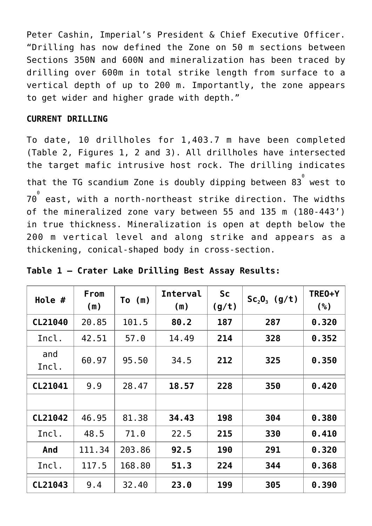Peter Cashin, Imperial's President & Chief Executive Officer. "Drilling has now defined the Zone on 50 m sections between Sections 350N and 600N and mineralization has been traced by drilling over 600m in total strike length from surface to a vertical depth of up to 200 m. Importantly, the zone appears to get wider and higher grade with depth."

#### **CURRENT DRILLING**

To date, 10 drillholes for 1,403.7 m have been completed (Table 2, Figures 1, 2 and 3). All drillholes have intersected the target mafic intrusive host rock. The drilling indicates that the TG scandium Zone is doubly dipping between 83 $^{^{\circ}}$  west to 70 0 east, with a north-northeast strike direction. The widths of the mineralized zone vary between 55 and 135 m (180-443') in true thickness. Mineralization is open at depth below the 200 m vertical level and along strike and appears as a thickening, conical-shaped body in cross-section.

| Hole #       | From<br>(m) | $\mathsf{To}$ (m) | <b>Interval</b><br>(m) | <b>Sc</b><br>(g/t) | $Sc_2O_3$ (g/t) | TRE0+Y<br>(%) |
|--------------|-------------|-------------------|------------------------|--------------------|-----------------|---------------|
| CL21040      | 20.85       | 101.5             | 80.2                   | 187                | 287<br>0.320    |               |
| Incl.        | 42.51       | 57.0              | 14.49                  | 214                | 328             | 0.352         |
| and<br>Incl. | 60.97       | 95.50             | 34.5                   | 212<br>325         |                 | 0.350         |
| CL21041      | 9.9         | 28.47             | 18.57                  | 228                | 350             | 0.420         |
|              |             |                   |                        |                    |                 |               |
| CL21042      | 46.95       | 81.38             | 34.43                  | 198                | 304             | 0.380         |
| Incl.        | 48.5        | 71.0              | 22.5                   | 215                | 330             | 0.410         |
| And          | 111.34      | 203.86            | 92.5                   | 190                | 291             | 0.320         |
| Incl.        | 117.5       | 168.80            | 51.3                   | 224                | 344             | 0.368         |
| CL21043      | 9.4         | 32.40             | 23.0                   | 199                | 305             | 0.390         |

| Table 1 - Crater Lake Drilling Best Assay Results: |  |  |  |
|----------------------------------------------------|--|--|--|
|----------------------------------------------------|--|--|--|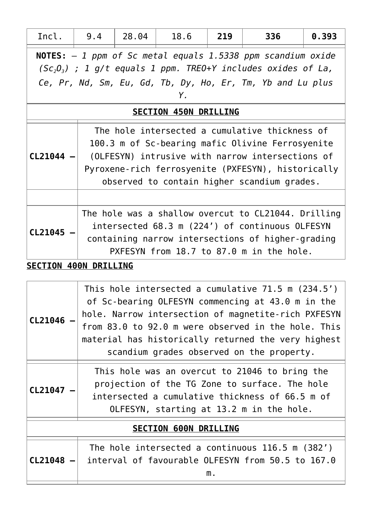| Incl.                                                                                                                                                                                                      | 9.4                                                                                                                                                                                                                                                         | 28,04 | 18.6 | 219 | 336                                                                                                                                                                                                     | 0.393 |
|------------------------------------------------------------------------------------------------------------------------------------------------------------------------------------------------------------|-------------------------------------------------------------------------------------------------------------------------------------------------------------------------------------------------------------------------------------------------------------|-------|------|-----|---------------------------------------------------------------------------------------------------------------------------------------------------------------------------------------------------------|-------|
| <b>NOTES:</b> $-1$ ppm of Sc metal equals 1.5338 ppm scandium oxide<br>$(Sc_2O_3)$ ; 1 g/t equals 1 ppm. TREO+Y includes oxides of La,<br>Ce, Pr, Nd, Sm, Eu, Gd, Tb, Dy, Ho, Er, Tm, Yb and Lu plus<br>Y. |                                                                                                                                                                                                                                                             |       |      |     |                                                                                                                                                                                                         |       |
|                                                                                                                                                                                                            | <b>SECTION 450N DRILLING</b>                                                                                                                                                                                                                                |       |      |     |                                                                                                                                                                                                         |       |
| $CL21044 -$                                                                                                                                                                                                | The hole intersected a cumulative thickness of<br>100.3 m of Sc-bearing mafic Olivine Ferrosyenite<br>(OLFESYN) intrusive with narrow intersections of<br>Pyroxene-rich ferrosyenite (PXFESYN), historically<br>observed to contain higher scandium grades. |       |      |     |                                                                                                                                                                                                         |       |
|                                                                                                                                                                                                            |                                                                                                                                                                                                                                                             |       |      |     |                                                                                                                                                                                                         |       |
| CL21045                                                                                                                                                                                                    |                                                                                                                                                                                                                                                             |       |      |     | The hole was a shallow overcut to CL21044. Drilling<br>intersected 68.3 m (224') of continuous OLFESYN<br>containing narrow intersections of higher-grading<br>PXFESYN from 18.7 to 87.0 m in the hole. |       |
| <b>SECTION 400N DRILLING</b>                                                                                                                                                                               |                                                                                                                                                                                                                                                             |       |      |     |                                                                                                                                                                                                         |       |

| OLFESYN, starting at 13.2 m in the hole.<br><b>SECTION 600N DRILLING</b><br>The hole intersected a continuous 116.5 m (382') |                                                                                                                                                                |  |  |  |  |
|------------------------------------------------------------------------------------------------------------------------------|----------------------------------------------------------------------------------------------------------------------------------------------------------------|--|--|--|--|
| CL21047                                                                                                                      | This hole was an overcut to 21046 to bring the<br>projection of the TG Zone to surface. The hole<br>intersected a cumulative thickness of 66.5 m of            |  |  |  |  |
|                                                                                                                              | from 83.0 to 92.0 m were observed in the hole. This<br>material has historically returned the very highest<br>scandium grades observed on the property.        |  |  |  |  |
| CL21046                                                                                                                      | This hole intersected a cumulative 71.5 m (234.5')<br>of Sc-bearing OLFESYN commencing at 43.0 m in the<br>hole. Narrow intersection of magnetite-rich PXFESYN |  |  |  |  |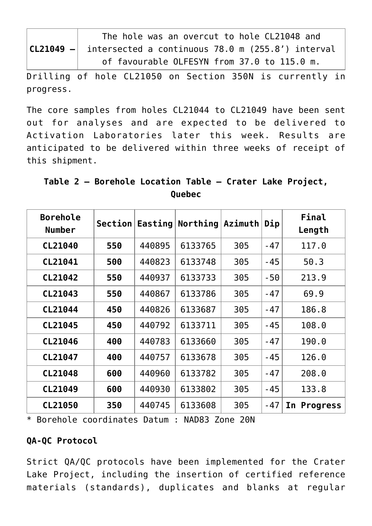| The hole was an overcut to hole CL21048 and                     |
|-----------------------------------------------------------------|
| $ CL21049 - $ intersected a continuous 78.0 m (255.8') interval |
| of favourable OLFESYN from 37.0 to 115.0 m.                     |

Drilling of hole CL21050 on Section 350N is currently in progress.

The core samples from holes CL21044 to CL21049 have been sent out for analyses and are expected to be delivered to Activation Laboratories later this week. Results are anticipated to be delivered within three weeks of receipt of this shipment.

**Table 2 – Borehole Location Table – Crater Lake Project, Quebec**

| <b>Borehole</b><br><b>Number</b> | Section |        | Easting Northing Azimuth |     | Dip   | Final<br>Length       |
|----------------------------------|---------|--------|--------------------------|-----|-------|-----------------------|
| CL21040                          | 550     | 440895 | 6133765                  | 305 | $-47$ | 117.0                 |
| CL21041                          | 500     | 440823 | 6133748                  | 305 | $-45$ | 50.3                  |
| CL21042                          | 550     | 440937 | 6133733                  | 305 | $-50$ | 213.9                 |
| CL21043                          | 550     | 440867 | 6133786                  | 305 | $-47$ | 69.9                  |
| CL21044                          | 450     | 440826 | 6133687                  | 305 | $-47$ | 186.8                 |
| CL21045                          | 450     | 440792 | 6133711                  | 305 | $-45$ | 108.0                 |
| CL21046                          | 400     | 440783 | 6133660                  | 305 | $-47$ | 190.0                 |
| CL21047                          | 400     | 440757 | 6133678                  | 305 | $-45$ | 126.0                 |
| CL21048                          | 600     | 440960 | 6133782                  | 305 | $-47$ | 208.0                 |
| CL21049                          | 600     | 440930 | 6133802                  | 305 | $-45$ | 133.8                 |
| CL21050                          | 350     | 440745 | 6133608                  | 305 | $-47$ | In<br><b>Progress</b> |

\* Borehole coordinates Datum : NAD83 Zone 20N

## **QA-QC Protocol**

Strict QA/QC protocols have been implemented for the Crater Lake Project, including the insertion of certified reference materials (standards), duplicates and blanks at regular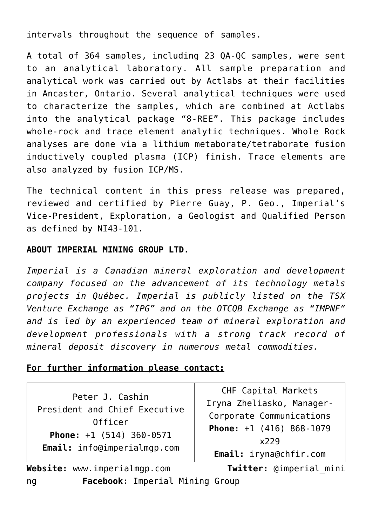intervals throughout the sequence of samples.

A total of 364 samples, including 23 QA-QC samples, were sent to an analytical laboratory. All sample preparation and analytical work was carried out by Actlabs at their facilities in Ancaster, Ontario. Several analytical techniques were used to characterize the samples, which are combined at Actlabs into the analytical package "8-REE". This package includes whole-rock and trace element analytic techniques. Whole Rock analyses are done via a lithium metaborate/tetraborate fusion inductively coupled plasma (ICP) finish. Trace elements are also analyzed by fusion ICP/MS.

The technical content in this press release was prepared, reviewed and certified by Pierre Guay, P. Geo., Imperial's Vice-President, Exploration, a Geologist and Qualified Person as defined by NI43-101.

#### **ABOUT IMPERIAL MINING GROUP LTD.**

*Imperial is a Canadian mineral exploration and development company focused on the advancement of its technology metals projects in Québec. Imperial is publicly listed on the TSX Venture Exchange as "IPG" and on the OTCQB Exchange as "IMPNF" and is led by an experienced team of mineral exploration and development professionals with a strong track record of mineral deposit discovery in numerous metal commodities.*

#### **For further information please contact:**

Peter J. Cashin President and Chief Executive Officer **Phone:** +1 (514) 360-0571 **Email:** [info@imperialmgp.com](mailto:info@imperialmgp.com)

CHF Capital Markets Iryna Zheliasko, Manager-Corporate Communications **Phone:** +1 (416) 868-1079 x229 **Email:** [iryna@chfir.com](mailto:iryna@chfir.com)

**Website:** [www.imperialmgp.com](https://www.globenewswire.com/Tracker?data=qarrkW7K2Q-dB3AxKO7Y5BDeY893E5QC9f1r5lr6afMLUeMCcmoJyx7l6cSAcQoL_UVfSua8edbpHpAhPLPHeT4nSHjWia6GvlYDIBmob8w=) **Twitter:** [@imperial\\_mini](https://www.globenewswire.com/Tracker?data=coHqq9jnSBJDDFbK9oCDxQRE_1PvqG8xajPaaTyNaFhNFt7JBIZXC1fnO11UyPuvUbWTXNEyv8ep97y5o0ATXXqmmM726DcmR8PaTEGOWxg=) [ng](https://www.globenewswire.com/Tracker?data=coHqq9jnSBJDDFbK9oCDxQRE_1PvqG8xajPaaTyNaFhNFt7JBIZXC1fnO11UyPuvUbWTXNEyv8ep97y5o0ATXXqmmM726DcmR8PaTEGOWxg=) **Facebook:** [Imperial Mining Group](https://www.globenewswire.com/Tracker?data=R8vCp9Acgycha_NgwaPeonDZfZCpTUlsxXwDHo0mQdvxORgFV0inGaMbvbi-k-K8LfQHNAgMJ7kxY6KMfrAEuJkl1_RduSzhh-SopMyz4xNJKD9q3hpecqELzbG03i0zPcbec8hMy-JXLclaw53POA==)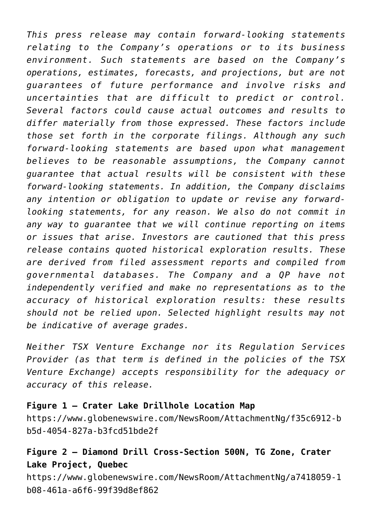*This press release may contain forward-looking statements relating to the Company's operations or to its business environment. Such statements are based on the Company's operations, estimates, forecasts, and projections, but are not guarantees of future performance and involve risks and uncertainties that are difficult to predict or control. Several factors could cause actual outcomes and results to differ materially from those expressed. These factors include those set forth in the corporate filings. Although any such forward-looking statements are based upon what management believes to be reasonable assumptions, the Company cannot guarantee that actual results will be consistent with these forward-looking statements. In addition, the Company disclaims any intention or obligation to update or revise any forwardlooking statements, for any reason. We also do not commit in any way to guarantee that we will continue reporting on items or issues that arise. Investors are cautioned that this press release contains quoted historical exploration results. These are derived from filed assessment reports and compiled from governmental databases. The Company and a QP have not independently verified and make no representations as to the accuracy of historical exploration results: these results should not be relied upon. Selected highlight results may not be indicative of average grades.*

*Neither TSX Venture Exchange nor its Regulation Services Provider (as that term is defined in the policies of the TSX Venture Exchange) accepts responsibility for the adequacy or accuracy of this release.*

### **Figure 1 – Crater Lake Drillhole Location Map**

[https://www.globenewswire.com/NewsRoom/AttachmentNg/f35c6912-b](https://www.globenewswire.com/Tracker?data=qEmjyOI_qAs6XZtSqB-fR-MyGPymYtX3O7R0ouh4c1emkHJdFo5VcSg2Gs5LWKg-mjZtCc1mKCxRTOc61y-EQChlZnRwaVnSKshBc2amWm5HgQSndhFKUuhh1to_yCyf5c4lXtwKpbtmLW-3Lp3mBYvg7mUwxHkDaods50kwjQm3FEGZwg9VIy7WVeHoXMrtAOR2lku_sG7I_VmtusYrSKtmUUopuL2yGb56FH_P6BdJxX6KDj9nXC6QZmrZuCy2HaJZfNbEQvIMSnpot9KH7A==) [b5d-4054-827a-b3fcd51bde2f](https://www.globenewswire.com/Tracker?data=qEmjyOI_qAs6XZtSqB-fR-MyGPymYtX3O7R0ouh4c1emkHJdFo5VcSg2Gs5LWKg-mjZtCc1mKCxRTOc61y-EQChlZnRwaVnSKshBc2amWm5HgQSndhFKUuhh1to_yCyf5c4lXtwKpbtmLW-3Lp3mBYvg7mUwxHkDaods50kwjQm3FEGZwg9VIy7WVeHoXMrtAOR2lku_sG7I_VmtusYrSKtmUUopuL2yGb56FH_P6BdJxX6KDj9nXC6QZmrZuCy2HaJZfNbEQvIMSnpot9KH7A==)

## **Figure 2 – Diamond Drill Cross-Section 500N, TG Zone, Crater Lake Project, Quebec**

[https://www.globenewswire.com/NewsRoom/AttachmentNg/a7418059-1](https://www.globenewswire.com/Tracker?data=qEmjyOI_qAs6XZtSqB-fR-MyGPymYtX3O7R0ouh4c1emkHJdFo5VcSg2Gs5LWKg-9QT2YqEXLJby-6ciTOxR4V7nG50WGRfd2CaAokwL3an-yXu2naFEz3OXUdlxF0PQBbBChkBF7H5Fygw8bdcY0XuwzN_rZsUUzq4-_YAbRar6HvSYYBbC-0Xa6BlgtgnE05WlPN-AKVZB2YZ6M3PkXXoV-BVkNMvg5WFUKN8K3xwE0nQ-Il9iLGOotxOK0hosu2Txjzhwc11oQsvlwy8j0Q==) [b08-461a-a6f6-99f39d8ef862](https://www.globenewswire.com/Tracker?data=qEmjyOI_qAs6XZtSqB-fR-MyGPymYtX3O7R0ouh4c1emkHJdFo5VcSg2Gs5LWKg-9QT2YqEXLJby-6ciTOxR4V7nG50WGRfd2CaAokwL3an-yXu2naFEz3OXUdlxF0PQBbBChkBF7H5Fygw8bdcY0XuwzN_rZsUUzq4-_YAbRar6HvSYYBbC-0Xa6BlgtgnE05WlPN-AKVZB2YZ6M3PkXXoV-BVkNMvg5WFUKN8K3xwE0nQ-Il9iLGOotxOK0hosu2Txjzhwc11oQsvlwy8j0Q==)